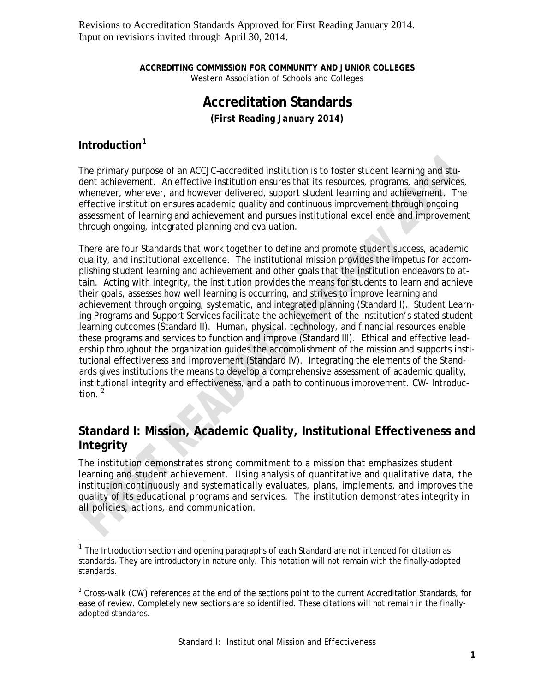> **ACCREDITING COMMISSION FOR COMMUNITY AND JUNIOR COLLEGES** Western Association of Schools and Colleges

# **Accreditation Standards**

*(First Reading January 2014)*

## **Introduction[1](#page-0-0)**

 $\overline{a}$ 

The primary purpose of an ACCJC–accredited institution is to foster student learning and student achievement. An effective institution ensures that its resources, programs, and services, whenever, wherever, and however delivered, support student learning and achievement. The effective institution ensures academic quality and continuous improvement through ongoing assessment of learning and achievement and pursues institutional excellence and improvement through ongoing, integrated planning and evaluation.

There are four Standards that work together to define and promote student success, academic quality, and institutional excellence. The institutional mission provides the impetus for accomplishing student learning and achievement and other goals that the institution endeavors to attain. Acting with integrity, the institution provides the means for students to learn and achieve their goals, assesses how well learning is occurring, and strives to improve learning and achievement through ongoing, systematic, and integrated planning (Standard I). Student Learning Programs and Support Services facilitate the achievement of the institution's stated student learning outcomes (Standard II). Human, physical, technology, and financial resources enable these programs and services to function and improve (Standard III). Ethical and effective leadership throughout the organization guides the accomplishment of the mission and supports institutional effectiveness and improvement (Standard IV). Integrating the elements of the Standards gives institutions the means to develop a comprehensive assessment of academic quality, institutional integrity and effectiveness, and a path to continuous improvement. CW- Introduction. $2$ 

# **Standard I: Mission, Academic Quality, Institutional Effectiveness and Integrity**

The institution demonstrates strong commitment to a mission that emphasizes student learning and student achievement. Using analysis of quantitative and qualitative data, the institution continuously and systematically evaluates, plans, implements, and improves the quality of its educational programs and services. The institution demonstrates integrity in all policies, actions, and communication.

<span id="page-0-0"></span> $1$  The Introduction section and opening paragraphs of each Standard are not intended for citation as standards. They are introductory in nature only. This notation will not remain with the finally-adopted standards.

<span id="page-0-1"></span> $2$  Cross-walk (CW) references at the end of the sections point to the current Accreditation Standards, for ease of review. Completely new sections are so identified. These citations will not remain in the finallyadopted standards.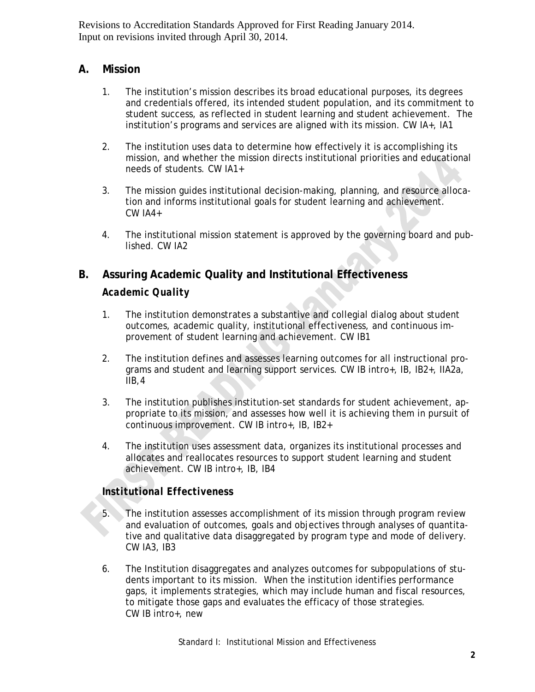#### **A. Mission**

- 1. The institution's mission describes its broad educational purposes, its degrees and credentials offered, its intended student population, and its commitment to student success, as reflected in student learning and student achievement. The institution's programs and services are aligned with its mission. CW IA+, IA1
- 2. The institution uses data to determine how effectively it is accomplishing its mission, and whether the mission directs institutional priorities and educational needs of students. CW IA1+
- 3. The mission guides institutional decision-making, planning, and resource allocation and informs institutional goals for student learning and achievement. CW IA4+
- 4. The institutional mission statement is approved by the governing board and published. CW IA2

#### **B. Assuring Academic Quality and Institutional Effectiveness**

#### *Academic Quality*

- 1. The institution demonstrates a substantive and collegial dialog about student outcomes, academic quality, institutional effectiveness, and continuous improvement of student learning and achievement. CW IB1
- 2. The institution defines and assesses learning outcomes for all instructional programs and student and learning support services. CW IB intro+, IB, IB2+, IIA2a,  $IIB.4$
- 3. The institution publishes institution-set standards for student achievement, appropriate to its mission, and assesses how well it is achieving them in pursuit of continuous improvement. CW IB intro+, IB, IB2+
- 4. The institution uses assessment data, organizes its institutional processes and allocates and reallocates resources to support student learning and student achievement. CW IB intro+, IB, IB4

#### *Institutional Effectiveness*

- 5. The institution assesses accomplishment of its mission through program review and evaluation of outcomes, goals and objectives through analyses of quantitative and qualitative data disaggregated by program type and mode of delivery. CW IA3, IB3
- 6. The Institution disaggregates and analyzes outcomes for subpopulations of students important to its mission. When the institution identifies performance gaps, it implements strategies, which may include human and fiscal resources, to mitigate those gaps and evaluates the efficacy of those strategies. CW IB intro+, new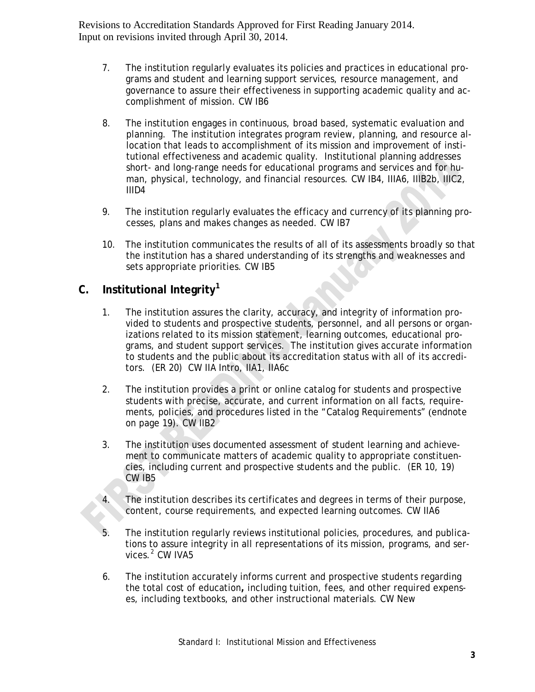- 7. The institution regularly evaluates its policies and practices in educational programs and student and learning support services, resource management, and governance to assure their effectiveness in supporting academic quality and accomplishment of mission. CW IB6
- 8. The institution engages in continuous, broad based, systematic evaluation and planning. The institution integrates program review, planning, and resource allocation that leads to accomplishment of its mission and improvement of institutional effectiveness and academic quality. Institutional planning addresses short- and long-range needs for educational programs and services and for human, physical, technology, and financial resources. CW IB4, IIIA6, IIIB2b, IIIC2, IIID4
- 9. The institution regularly evaluates the efficacy and currency of its planning processes, plans and makes changes as needed. CW IB7
- 10. The institution communicates the results of all of its assessments broadly so that the institution has a shared understanding of its strengths and weaknesses and sets appropriate priorities. CW IB5

## **C. Institutional Integrity<sup>1</sup>**

- 1. The institution assures the clarity, accuracy, and integrity of information provided to students and prospective students, personnel, and all persons or organizations related to its mission statement, learning outcomes, educational programs, and student support services. The institution gives accurate information to students and the public about its accreditation status with all of its accreditors. (ER 20) CW IIA Intro, IIA1, IIA6c
- 2. The institution provides a print or online catalog for students and prospective students with precise, accurate, and current information on all facts, requirements, policies, and procedures listed in the "Catalog Requirements" (endnote on page 19). CW IIB2
- 3. The institution uses documented assessment of student learning and achievement to communicate matters of academic quality to appropriate constituencies, including current and prospective students and the public. (ER 10, 19) CW IB5
- 4. The institution describes its certificates and degrees in terms of their purpose, content, course requirements, and expected learning outcomes. CW IIA6
- The institution regularly reviews institutional policies, procedures, and publications to assure integrity in all representations of its mission, programs, and services.<sup>2</sup> CW IVA5
- 6. The institution accurately informs current and prospective students regarding the total cost of education**,** including tuition, fees, and other required expenses, including textbooks, and other instructional materials. CW New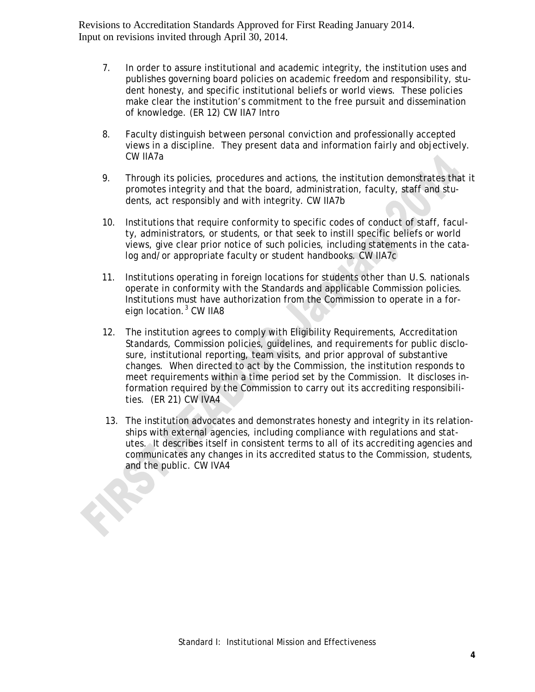- 7. In order to assure institutional and academic integrity, the institution uses and publishes governing board policies on academic freedom and responsibility, student honesty, and specific institutional beliefs or world views. These policies make clear the institution's commitment to the free pursuit and dissemination of knowledge. (ER 12) CW IIA7 Intro
- 8. Faculty distinguish between personal conviction and professionally accepted views in a discipline. They present data and information fairly and objectively. CW IIA7a
- 9. Through its policies, procedures and actions, the institution demonstrates that it promotes integrity and that the board, administration, faculty, staff and students, act responsibly and with integrity. CW IIA7b
- 10. Institutions that require conformity to specific codes of conduct of staff, faculty, administrators, or students, or that seek to instill specific beliefs or world views, give clear prior notice of such policies, including statements in the catalog and/or appropriate faculty or student handbooks. CW IIA7c
- 11. Institutions operating in foreign locations for students other than U.S. nationals operate in conformity with the Standards and applicable Commission policies. Institutions must have authorization from the Commission to operate in a foreign location.<sup>3</sup> CW IIA8
- 12. The institution agrees to comply with Eligibility Requirements, Accreditation Standards, Commission policies, guidelines, and requirements for public disclosure, institutional reporting, team visits, and prior approval of substantive changes. When directed to act by the Commission, the institution responds to meet requirements within a time period set by the Commission. It discloses information required by the Commission to carry out its accrediting responsibilities. (ER 21) CW IVA4
- 13. The institution advocates and demonstrates honesty and integrity in its relationships with external agencies, including compliance with regulations and statutes. It describes itself in consistent terms to all of its accrediting agencies and communicates any changes in its accredited status to the Commission, students, and the public. CW IVA4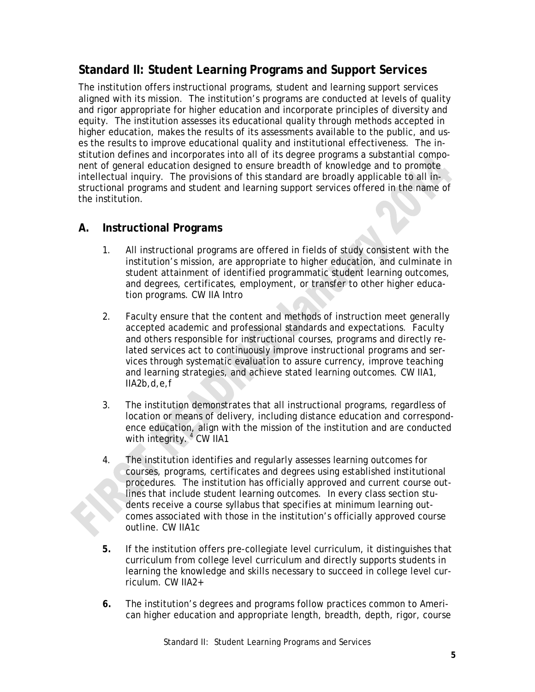## **Standard II: Student Learning Programs and Support Services**

The institution offers instructional programs, student and learning support services aligned with its mission. The institution's programs are conducted at levels of quality and rigor appropriate for higher education and incorporate principles of diversity and equity. The institution assesses its educational quality through methods accepted in higher education, makes the results of its assessments available to the public, and uses the results to improve educational quality and institutional effectiveness. The institution defines and incorporates into all of its degree programs a substantial component of general education designed to ensure breadth of knowledge and to promote intellectual inquiry. The provisions of this standard are broadly applicable to all instructional programs and student and learning support services offered in the name of the institution.

## **A. Instructional Programs**

- 1. All instructional programs are offered in fields of study consistent with the institution's mission, are appropriate to higher education, and culminate in student attainment of identified programmatic student learning outcomes, and degrees, certificates, employment, or transfer to other higher education programs. CW IIA Intro
- 2. Faculty ensure that the content and methods of instruction meet generally accepted academic and professional standards and expectations. Faculty and others responsible for instructional courses, programs and directly related services act to continuously improve instructional programs and services through systematic evaluation to assure currency, improve teaching and learning strategies, and achieve stated learning outcomes. CW IIA1, IIA2b,d,e,f
- 3. The institution demonstrates that all instructional programs, regardless of location or means of delivery, including distance education and correspondence education, align with the mission of the institution and are conducted with integrity. <sup>4</sup> CW IIA1
- 4. The institution identifies and regularly assesses learning outcomes for courses, programs, certificates and degrees using established institutional procedures. The institution has officially approved and current course outlines that include student learning outcomes. In every class section students receive a course syllabus that specifies at minimum learning outcomes associated with those in the institution's officially approved course outline. CW IIA1c
- **5.** If the institution offers pre-collegiate level curriculum, it distinguishes that curriculum from college level curriculum and directly supports students in learning the knowledge and skills necessary to succeed in college level curriculum. CW IIA2+
- **6.** The institution's degrees and programs follow practices common to American higher education and appropriate length, breadth, depth, rigor, course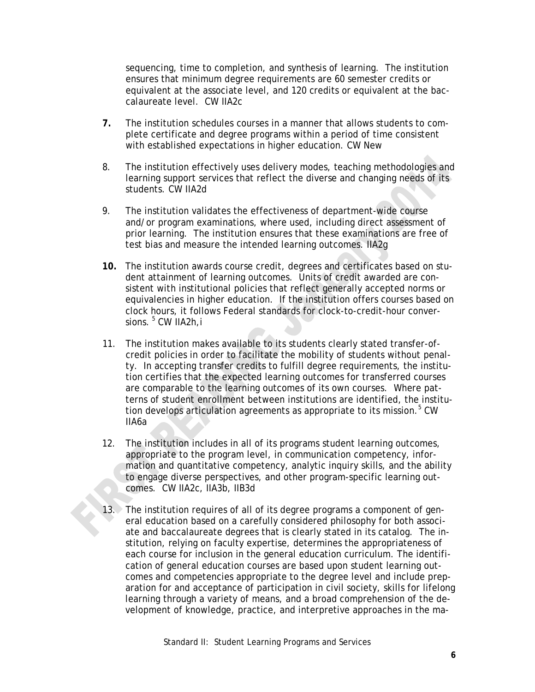sequencing, time to completion, and synthesis of learning. The institution ensures that minimum degree requirements are 60 semester credits or equivalent at the associate level, and 120 credits or equivalent at the baccalaureate level. CW IIA2c

- **7.** The institution schedules courses in a manner that allows students to complete certificate and degree programs within a period of time consistent with established expectations in higher education. CW New
- 8. The institution effectively uses delivery modes, teaching methodologies and learning support services that reflect the diverse and changing needs of its students. CW IIA2d
- 9. The institution validates the effectiveness of department-wide course and/or program examinations, where used, including direct assessment of prior learning. The institution ensures that these examinations are free of test bias and measure the intended learning outcomes. IIA2g
- **10.** The institution awards course credit, degrees and certificates based on student attainment of learning outcomes. Units of credit awarded are consistent with institutional policies that reflect generally accepted norms or equivalencies in higher education. If the institution offers courses based on clock hours, it follows Federal standards for clock-to-credit-hour conversions.  $5$  CW IIA2h, i
- 11. The institution makes available to its students clearly stated transfer-ofcredit policies in order to facilitate the mobility of students without penalty. In accepting transfer credits to fulfill degree requirements, the institution certifies that the expected learning outcomes for transferred courses are comparable to the learning outcomes of its own courses. Where patterns of student enrollment between institutions are identified, the institution develops articulation agreements as appropriate to its mission.<sup>5</sup> CW IIA6a
- 12. The institution includes in all of its programs student learning outcomes, appropriate to the program level, in communication competency, information and quantitative competency, analytic inquiry skills, and the ability to engage diverse perspectives, and other program-specific learning outcomes. CW IIA2c, IIA3b, IIB3d
- 13. The institution requires of all of its degree programs a component of general education based on a carefully considered philosophy for both associate and baccalaureate degrees that is clearly stated in its catalog. The institution, relying on faculty expertise, determines the appropriateness of each course for inclusion in the general education curriculum. The identification of general education courses are based upon student learning outcomes and competencies appropriate to the degree level and include preparation for and acceptance of participation in civil society, skills for lifelong learning through a variety of means, and a broad comprehension of the development of knowledge, practice, and interpretive approaches in the ma-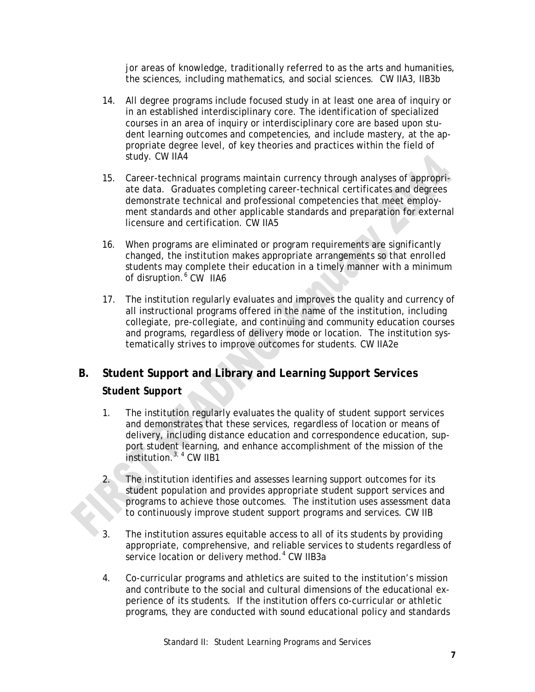jor areas of knowledge, traditionally referred to as the arts and humanities, the sciences, including mathematics, and social sciences. CW IIA3, IIB3b

- 14. All degree programs include focused study in at least one area of inquiry or in an established interdisciplinary core. The identification of specialized courses in an area of inquiry or interdisciplinary core are based upon student learning outcomes and competencies, and include mastery, at the appropriate degree level, of key theories and practices within the field of study. CW IIA4
- 15. Career-technical programs maintain currency through analyses of appropriate data. Graduates completing career-technical certificates and degrees demonstrate technical and professional competencies that meet employment standards and other applicable standards and preparation for external licensure and certification. CW IIA5
- 16. When programs are eliminated or program requirements are significantly changed, the institution makes appropriate arrangements so that enrolled students may complete their education in a timely manner with a minimum of disruption.<sup>6</sup> CW IIA6
- 17. The institution regularly evaluates and improves the quality and currency of all instructional programs offered in the name of the institution, including collegiate, pre-collegiate, and continuing and community education courses and programs, regardless of delivery mode or location. The institution systematically strives to improve outcomes for students. CW IIA2e

# **B. Student Support and Library and Learning Support Services** *Student Support*

- 1. The institution regularly evaluates the quality of student support services and demonstrates that these services, regardless of location or means of delivery, including distance education and correspondence education, support student learning, and enhance accomplishment of the mission of the institution. $3, 4$  CW IIB1
- The institution identifies and assesses learning support outcomes for its student population and provides appropriate student support services and programs to achieve those outcomes. The institution uses assessment data to continuously improve student support programs and services. CW IIB
- The institution assures equitable access to all of its students by providing appropriate, comprehensive, and reliable services to students regardless of service location or delivery method.<sup>4</sup> CW IIB3a
- 4. Co-curricular programs and athletics are suited to the institution's mission and contribute to the social and cultural dimensions of the educational experience of its students. If the institution offers co-curricular or athletic programs, they are conducted with sound educational policy and standards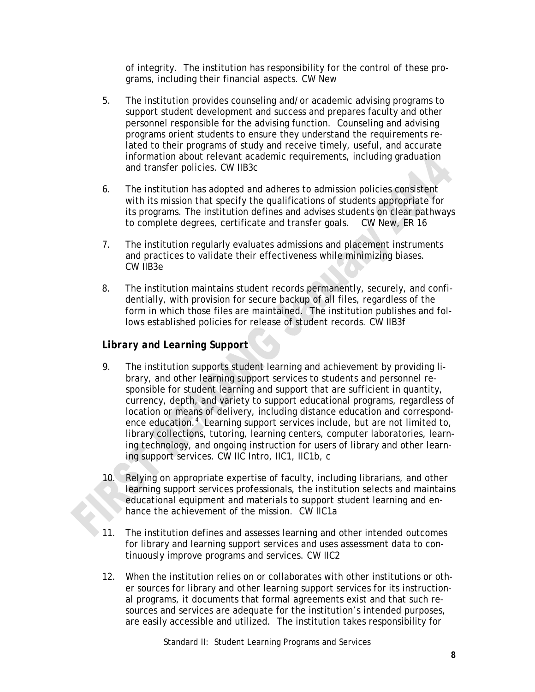of integrity. The institution has responsibility for the control of these programs, including their financial aspects. CW New

- 5. The institution provides counseling and/or academic advising programs to support student development and success and prepares faculty and other personnel responsible for the advising function. Counseling and advising programs orient students to ensure they understand the requirements related to their programs of study and receive timely, useful, and accurate information about relevant academic requirements, including graduation and transfer policies. CW IIB3c
- 6. The institution has adopted and adheres to admission policies consistent with its mission that specify the qualifications of students appropriate for its programs. The institution defines and advises students on clear pathways to complete degrees, certificate and transfer goals. CW New, ER 16
- 7. The institution regularly evaluates admissions and placement instruments and practices to validate their effectiveness while minimizing biases. CW IIB3e
- 8. The institution maintains student records permanently, securely, and confidentially, with provision for secure backup of all files, regardless of the form in which those files are maintained. The institution publishes and follows established policies for release of student records. CW IIB3f

#### *Library and Learning Support*

- 9. The institution supports student learning and achievement by providing library, and other learning support services to students and personnel responsible for student learning and support that are sufficient in quantity, currency, depth, and variety to support educational programs, regardless of location or means of delivery, including distance education and correspondence education.<sup>4</sup> Learning support services include, but are not limited to, library collections, tutoring, learning centers, computer laboratories, learning technology, and ongoing instruction for users of library and other learning support services. CW IIC Intro, IIC1, IIC1b, c
- 10. Relying on appropriate expertise of faculty, including librarians, and other learning support services professionals, the institution selects and maintains educational equipment and materials to support student learning and enhance the achievement of the mission. CW IIC1a
- 11. The institution defines and assesses learning and other intended outcomes for library and learning support services and uses assessment data to continuously improve programs and services. CW IIC2
- 12. When the institution relies on or collaborates with other institutions or other sources for library and other learning support services for its instructional programs, it documents that formal agreements exist and that such resources and services are adequate for the institution's intended purposes, are easily accessible and utilized. The institution takes responsibility for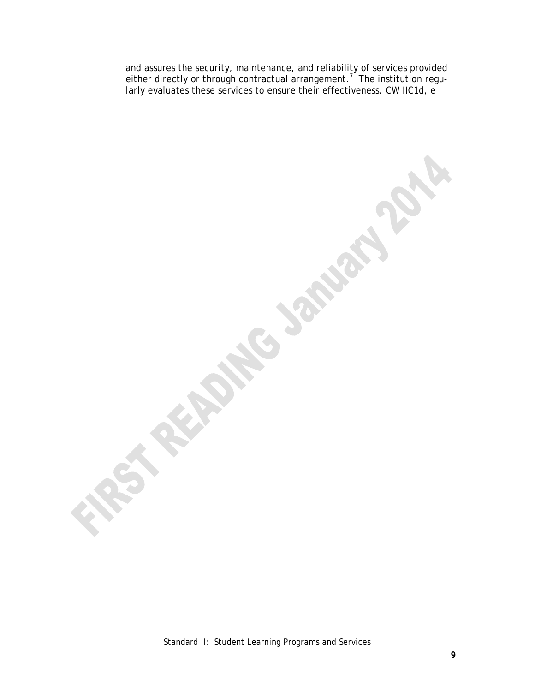and assures the security, maintenance, and reliability of services provided either directly or through contractual arrangement.<sup>7</sup> The institution regularly evaluates these services to ensure their effectiveness. CW IIC1d, e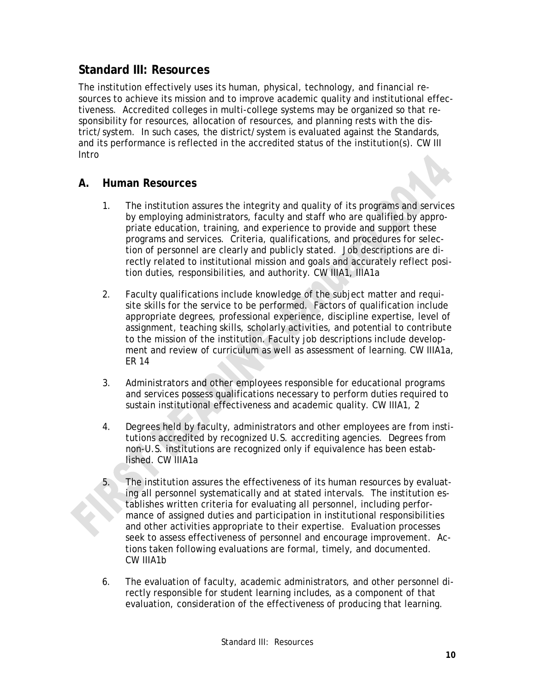## **Standard III: Resources**

The institution effectively uses its human, physical, technology, and financial resources to achieve its mission and to improve academic quality and institutional effectiveness. Accredited colleges in multi-college systems may be organized so that responsibility for resources, allocation of resources, and planning rests with the district/system. In such cases, the district/system is evaluated against the Standards, and its performance is reflected in the accredited status of the institution(s). CW III Intro

#### **A. Human Resources**

- 1. The institution assures the integrity and quality of its programs and services by employing administrators, faculty and staff who are qualified by appropriate education, training, and experience to provide and support these programs and services. Criteria, qualifications, and procedures for selection of personnel are clearly and publicly stated. Job descriptions are directly related to institutional mission and goals and accurately reflect position duties, responsibilities, and authority. CW IIIA1, IIIA1a
- 2. Faculty qualifications include knowledge of the subject matter and requisite skills for the service to be performed. Factors of qualification include appropriate degrees, professional experience, discipline expertise, level of assignment, teaching skills, scholarly activities, and potential to contribute to the mission of the institution. Faculty job descriptions include development and review of curriculum as well as assessment of learning. CW IIIA1a, ER 14
- 3. Administrators and other employees responsible for educational programs and services possess qualifications necessary to perform duties required to sustain institutional effectiveness and academic quality. CW IIIA1, 2
- 4. Degrees held by faculty, administrators and other employees are from institutions accredited by recognized U.S. accrediting agencies. Degrees from non-U.S. institutions are recognized only if equivalence has been established. CW IIIA1a
- 5. The institution assures the effectiveness of its human resources by evaluating all personnel systematically and at stated intervals. The institution establishes written criteria for evaluating all personnel, including performance of assigned duties and participation in institutional responsibilities and other activities appropriate to their expertise. Evaluation processes seek to assess effectiveness of personnel and encourage improvement. Actions taken following evaluations are formal, timely, and documented. CW IIIA1b
- 6. The evaluation of faculty, academic administrators, and other personnel directly responsible for student learning includes, as a component of that evaluation, consideration of the effectiveness of producing that learning.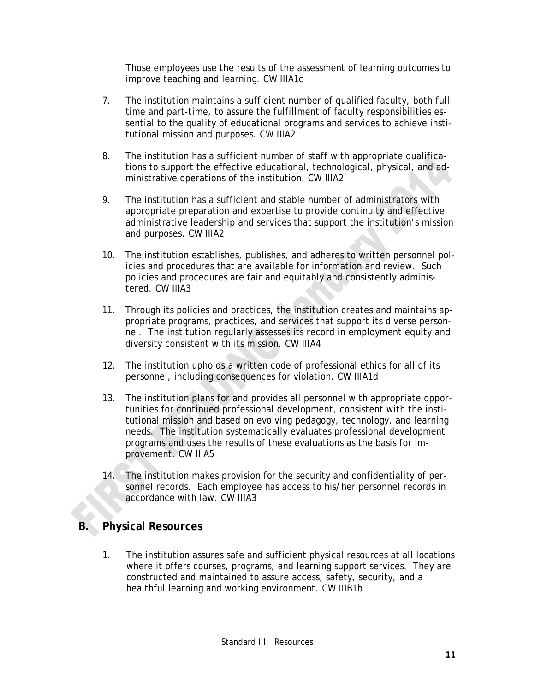Those employees use the results of the assessment of learning outcomes to improve teaching and learning. CW IIIA1c

- 7. The institution maintains a sufficient number of qualified faculty, both fulltime and part-time, to assure the fulfillment of faculty responsibilities essential to the quality of educational programs and services to achieve institutional mission and purposes. CW IIIA2
- 8. The institution has a sufficient number of staff with appropriate qualifications to support the effective educational, technological, physical, and administrative operations of the institution. CW IIIA2
- 9. The institution has a sufficient and stable number of administrators with appropriate preparation and expertise to provide continuity and effective administrative leadership and services that support the institution's mission and purposes. CW IIIA2
- 10. The institution establishes, publishes, and adheres to written personnel policies and procedures that are available for information and review. Such policies and procedures are fair and equitably and consistently administered. CW IIIA3
- 11. Through its policies and practices, the institution creates and maintains appropriate programs, practices, and services that support its diverse personnel. The institution regularly assesses its record in employment equity and diversity consistent with its mission. CW IIIA4
- 12. The institution upholds a written code of professional ethics for all of its personnel, including consequences for violation. CW IIIA1d
- 13. The institution plans for and provides all personnel with appropriate opportunities for continued professional development, consistent with the institutional mission and based on evolving pedagogy, technology, and learning needs. The institution systematically evaluates professional development programs and uses the results of these evaluations as the basis for improvement. CW IIIA5
- 14. The institution makes provision for the security and confidentiality of personnel records. Each employee has access to his/her personnel records in accordance with law. CW IIIA3

## **B. Physical Resources**

1. The institution assures safe and sufficient physical resources at all locations where it offers courses, programs, and learning support services. They are constructed and maintained to assure access, safety, security, and a healthful learning and working environment. CW IIIB1b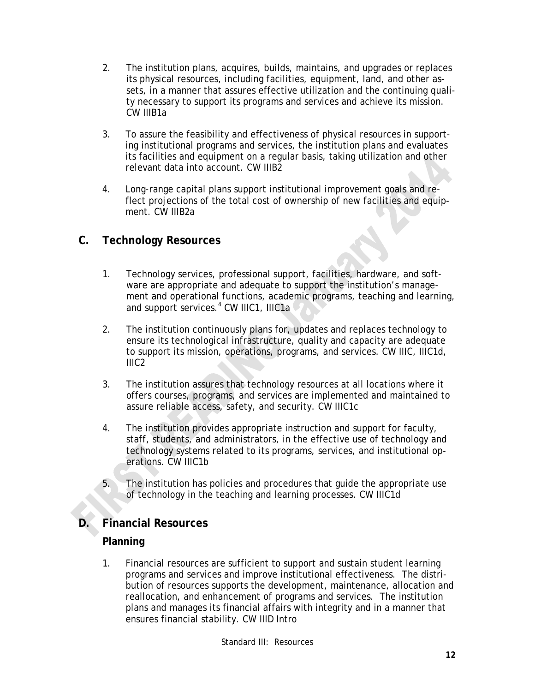- 2. The institution plans, acquires, builds, maintains, and upgrades or replaces its physical resources, including facilities, equipment, land, and other assets, in a manner that assures effective utilization and the continuing quality necessary to support its programs and services and achieve its mission. CW IIIB1a
- 3. To assure the feasibility and effectiveness of physical resources in supporting institutional programs and services, the institution plans and evaluates its facilities and equipment on a regular basis, taking utilization and other relevant data into account. CW IIIB2
- 4. Long-range capital plans support institutional improvement goals and reflect projections of the total cost of ownership of new facilities and equipment. CW IIIB2a

## **C. Technology Resources**

- 1. Technology services, professional support, facilities, hardware, and software are appropriate and adequate to support the institution's management and operational functions, academic programs, teaching and learning, and support services.<sup>4</sup> CW IIIC1, IIIC1a
- 2. The institution continuously plans for, updates and replaces technology to ensure its technological infrastructure, quality and capacity are adequate to support its mission, operations, programs, and services. CW IIIC, IIIC1d, IIIC2
- 3. The institution assures that technology resources at all locations where it offers courses, programs, and services are implemented and maintained to assure reliable access, safety, and security. CW IIIC1c
- 4. The institution provides appropriate instruction and support for faculty, staff, students, and administrators, in the effective use of technology and technology systems related to its programs, services, and institutional operations. CW IIIC1b
- 5. The institution has policies and procedures that guide the appropriate use of technology in the teaching and learning processes. CW IIIC1d

## **D. Financial Resources**

#### **Planning**

1. Financial resources are sufficient to support and sustain student learning programs and services and improve institutional effectiveness. The distribution of resources supports the development, maintenance, allocation and reallocation, and enhancement of programs and services. The institution plans and manages its financial affairs with integrity and in a manner that ensures financial stability. CW IIID Intro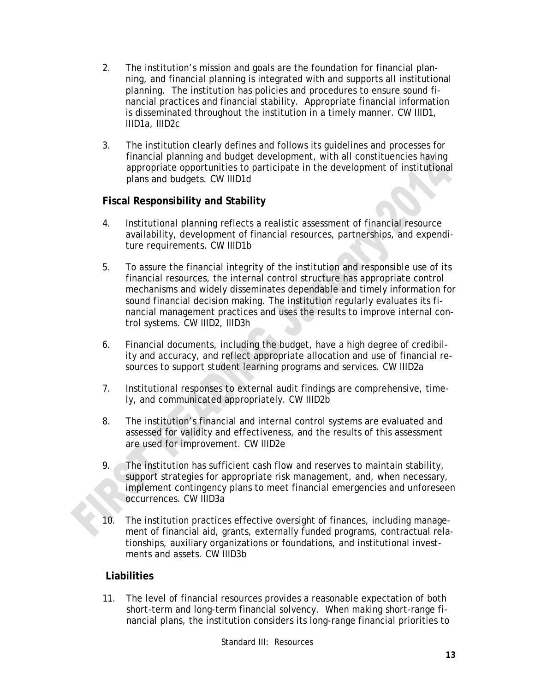- 2. The institution's mission and goals are the foundation for financial planning, and financial planning is integrated with and supports all institutional planning. The institution has policies and procedures to ensure sound financial practices and financial stability. Appropriate financial information is disseminated throughout the institution in a timely manner. CW IIID1, IIID1a, IIID2c
- 3. The institution clearly defines and follows its guidelines and processes for financial planning and budget development, with all constituencies having appropriate opportunities to participate in the development of institutional plans and budgets. CW IIID1d

#### **Fiscal Responsibility and Stability**

- 4. Institutional planning reflects a realistic assessment of financial resource availability, development of financial resources, partnerships, and expenditure requirements. CW IIID1b
- 5. To assure the financial integrity of the institution and responsible use of its financial resources, the internal control structure has appropriate control mechanisms and widely disseminates dependable and timely information for sound financial decision making. The institution regularly evaluates its financial management practices and uses the results to improve internal control systems. CW IIID2, IIID3h
- 6. Financial documents, including the budget, have a high degree of credibility and accuracy, and reflect appropriate allocation and use of financial resources to support student learning programs and services. CW IIID2a
- 7. Institutional responses to external audit findings are comprehensive, timely, and communicated appropriately. CW IIID2b
- 8. The institution's financial and internal control systems are evaluated and assessed for validity and effectiveness, and the results of this assessment are used for improvement. CW IIID2e
- 9. The institution has sufficient cash flow and reserves to maintain stability, support strategies for appropriate risk management, and, when necessary, implement contingency plans to meet financial emergencies and unforeseen occurrences. CW IIID3a
- 10. The institution practices effective oversight of finances, including management of financial aid, grants, externally funded programs, contractual relationships, auxiliary organizations or foundations, and institutional investments and assets. CW IIID3b

#### **Liabilities**

11. The level of financial resources provides a reasonable expectation of both short-term and long-term financial solvency. When making short-range financial plans, the institution considers its long-range financial priorities to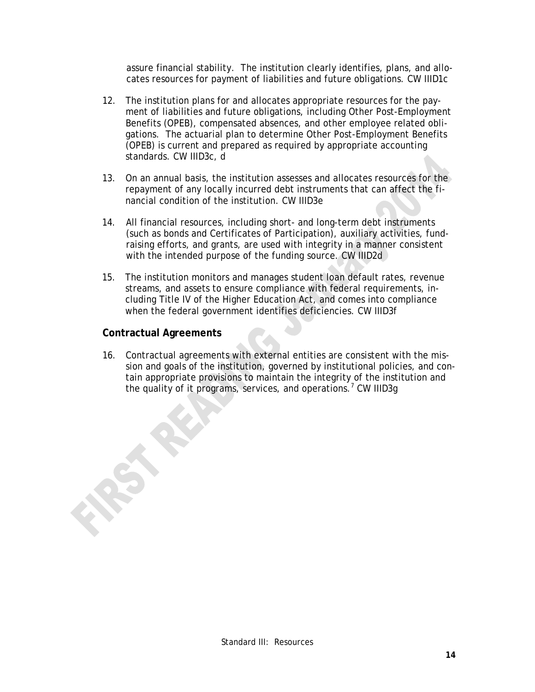assure financial stability. The institution clearly identifies, plans, and allocates resources for payment of liabilities and future obligations. CW IIID1c

- 12. The institution plans for and allocates appropriate resources for the payment of liabilities and future obligations, including Other Post-Employment Benefits (OPEB), compensated absences, and other employee related obligations. The actuarial plan to determine Other Post-Employment Benefits (OPEB) is current and prepared as required by appropriate accounting standards. CW IIID3c, d
- 13. On an annual basis, the institution assesses and allocates resources for the repayment of any locally incurred debt instruments that can affect the financial condition of the institution. CW IIID3e
- 14. All financial resources, including short- and long-term debt instruments (such as bonds and Certificates of Participation), auxiliary activities, fundraising efforts, and grants, are used with integrity in a manner consistent with the intended purpose of the funding source. CW IIID2d
- 15. The institution monitors and manages student loan default rates, revenue streams, and assets to ensure compliance with federal requirements, including Title IV of the Higher Education Act, and comes into compliance when the federal government identifies deficiencies. CW IIID3f

#### **Contractual Agreements**

16. Contractual agreements with external entities are consistent with the mission and goals of the institution, governed by institutional policies, and contain appropriate provisions to maintain the integrity of the institution and the quality of it programs, services, and operations.<sup>7</sup> CW IIID3g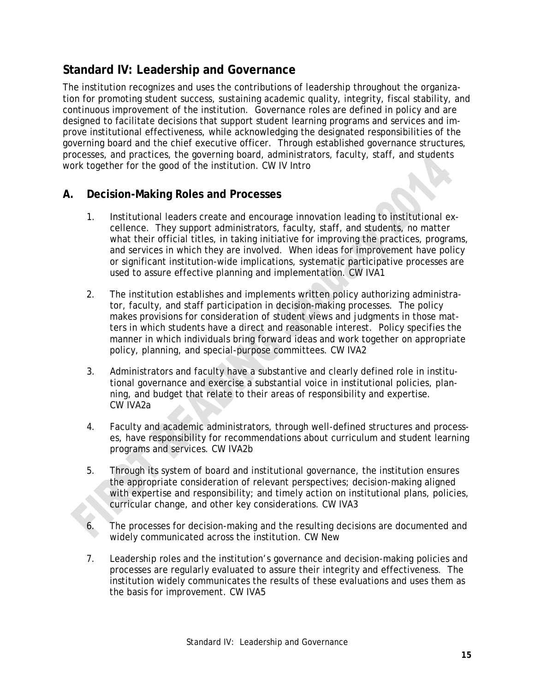## **Standard IV: Leadership and Governance**

The institution recognizes and uses the contributions of leadership throughout the organization for promoting student success, sustaining academic quality, integrity, fiscal stability, and continuous improvement of the institution. Governance roles are defined in policy and are designed to facilitate decisions that support student learning programs and services and improve institutional effectiveness, while acknowledging the designated responsibilities of the governing board and the chief executive officer. Through established governance structures, processes, and practices, the governing board, administrators, faculty, staff, and students work together for the good of the institution. CW IV Intro

#### **A. Decision-Making Roles and Processes**

- 1. Institutional leaders create and encourage innovation leading to institutional excellence. They support administrators, faculty, staff, and students, no matter what their official titles, in taking initiative for improving the practices, programs, and services in which they are involved. When ideas for improvement have policy or significant institution-wide implications, systematic participative processes are used to assure effective planning and implementation. CW IVA1
- 2. The institution establishes and implements written policy authorizing administrator, faculty, and staff participation in decision-making processes. The policy makes provisions for consideration of student views and judgments in those matters in which students have a direct and reasonable interest. Policy specifies the manner in which individuals bring forward ideas and work together on appropriate policy, planning, and special-purpose committees. CW IVA2
- 3. Administrators and faculty have a substantive and clearly defined role in institutional governance and exercise a substantial voice in institutional policies, planning, and budget that relate to their areas of responsibility and expertise. CW IVA2a
- 4. Faculty and academic administrators, through well-defined structures and processes, have responsibility for recommendations about curriculum and student learning programs and services. CW IVA2b
- 5. Through its system of board and institutional governance, the institution ensures the appropriate consideration of relevant perspectives; decision-making aligned with expertise and responsibility; and timely action on institutional plans, policies, curricular change, and other key considerations. CW IVA3
- The processes for decision-making and the resulting decisions are documented and widely communicated across the institution. CW New
- 7. Leadership roles and the institution's governance and decision-making policies and processes are regularly evaluated to assure their integrity and effectiveness. The institution widely communicates the results of these evaluations and uses them as the basis for improvement. CW IVA5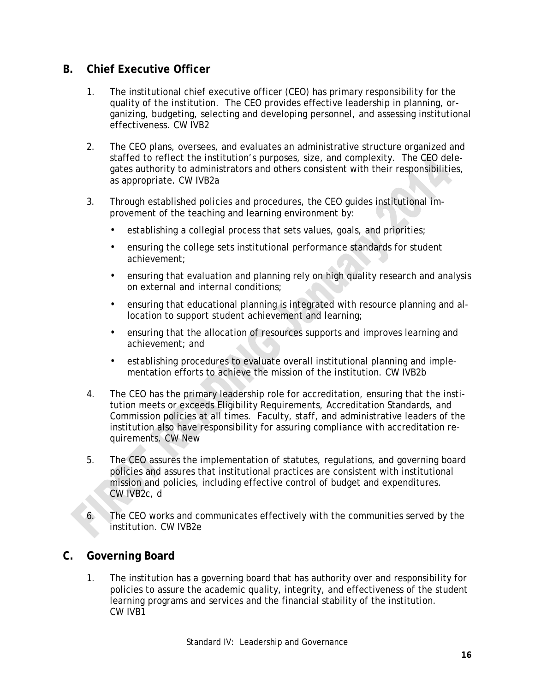#### **B. Chief Executive Officer**

- 1. The institutional chief executive officer (CEO) has primary responsibility for the quality of the institution. The CEO provides effective leadership in planning, organizing, budgeting, selecting and developing personnel, and assessing institutional effectiveness. CW IVB2
- 2. The CEO plans, oversees, and evaluates an administrative structure organized and staffed to reflect the institution's purposes, size, and complexity. The CEO delegates authority to administrators and others consistent with their responsibilities, as appropriate. CW IVB2a
- 3. Through established policies and procedures, the CEO guides institutional improvement of the teaching and learning environment by:
	- establishing a collegial process that sets values, goals, and priorities;
	- ensuring the college sets institutional performance standards for student achievement;
	- ensuring that evaluation and planning rely on high quality research and analysis on external and internal conditions;
	- ensuring that educational planning is integrated with resource planning and allocation to support student achievement and learning;
	- ensuring that the allocation of resources supports and improves learning and achievement; and
	- establishing procedures to evaluate overall institutional planning and implementation efforts to achieve the mission of the institution. CW IVB2b
- 4. The CEO has the primary leadership role for accreditation, ensuring that the institution meets or exceeds Eligibility Requirements, Accreditation Standards, and Commission policies at all times. Faculty, staff, and administrative leaders of the institution also have responsibility for assuring compliance with accreditation requirements. CW New
- 5. The CEO assures the implementation of statutes, regulations, and governing board policies and assures that institutional practices are consistent with institutional mission and policies, including effective control of budget and expenditures. CW IVB2c, d
- 6. The CEO works and communicates effectively with the communities served by the institution. CW IVB2e

## **C. Governing Board**

1. The institution has a governing board that has authority over and responsibility for policies to assure the academic quality, integrity, and effectiveness of the student learning programs and services and the financial stability of the institution. CW IVB1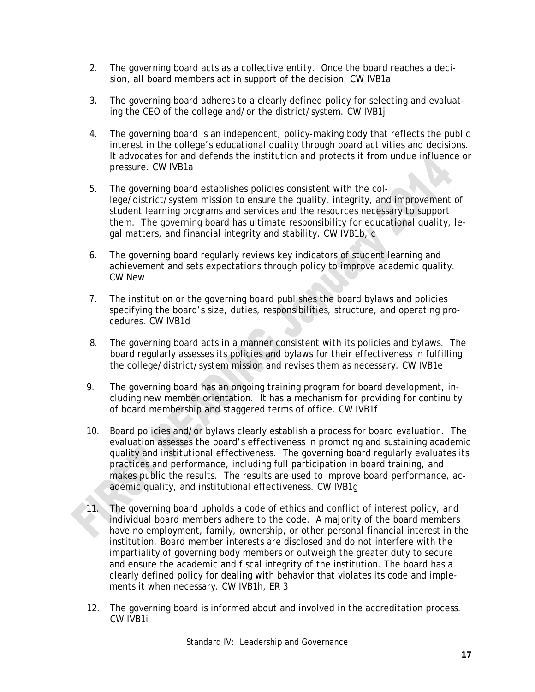- 2. The governing board acts as a collective entity. Once the board reaches a decision, all board members act in support of the decision. CW IVB1a
- 3. The governing board adheres to a clearly defined policy for selecting and evaluating the CEO of the college and/or the district/system. CW IVB1j
- 4. The governing board is an independent, policy-making body that reflects the public interest in the college's educational quality through board activities and decisions. It advocates for and defends the institution and protects it from undue influence or pressure. CW IVB1a
- 5. The governing board establishes policies consistent with the college/district/system mission to ensure the quality, integrity, and improvement of student learning programs and services and the resources necessary to support them. The governing board has ultimate responsibility for educational quality, legal matters, and financial integrity and stability. CW IVB1b, c
- 6. The governing board regularly reviews key indicators of student learning and achievement and sets expectations through policy to improve academic quality. CW New
- 7. The institution or the governing board publishes the board bylaws and policies specifying the board's size, duties, responsibilities, structure, and operating procedures. CW IVB1d
- 8. The governing board acts in a manner consistent with its policies and bylaws. The board regularly assesses its policies and bylaws for their effectiveness in fulfilling the college/district/system mission and revises them as necessary. CW IVB1e
- 9. The governing board has an ongoing training program for board development, including new member orientation. It has a mechanism for providing for continuity of board membership and staggered terms of office. CW IVB1f
- 10. Board policies and/or bylaws clearly establish a process for board evaluation. The evaluation assesses the board's effectiveness in promoting and sustaining academic quality and institutional effectiveness. The governing board regularly evaluates its practices and performance, including full participation in board training, and makes public the results. The results are used to improve board performance, academic quality, and institutional effectiveness. CW IVB1g
- 11. The governing board upholds a code of ethics and conflict of interest policy, and individual board members adhere to the code. A majority of the board members have no employment, family, ownership, or other personal financial interest in the institution. Board member interests are disclosed and do not interfere with the impartiality of governing body members or outweigh the greater duty to secure and ensure the academic and fiscal integrity of the institution. The board has a clearly defined policy for dealing with behavior that violates its code and implements it when necessary. CW IVB1h, ER 3
- 12. The governing board is informed about and involved in the accreditation process. CW IVB1i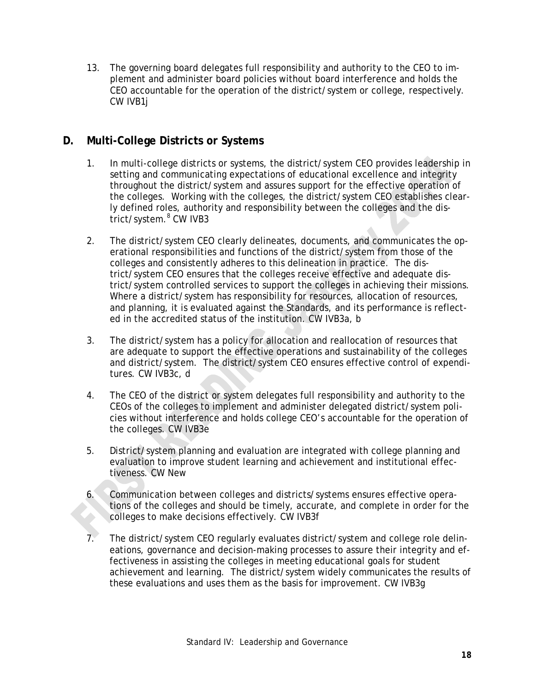13. The governing board delegates full responsibility and authority to the CEO to implement and administer board policies without board interference and holds the CEO accountable for the operation of the district/system or college, respectively. CW IVB1j

## **D. Multi-College Districts or Systems**

- 1. In multi-college districts or systems, the district/system CEO provides leadership in setting and communicating expectations of educational excellence and integrity throughout the district/system and assures support for the effective operation of the colleges. Working with the colleges, the district/system CEO establishes clearly defined roles, authority and responsibility between the colleges and the district/system.<sup>8</sup> CW IVB3
- 2. The district/system CEO clearly delineates, documents, and communicates the operational responsibilities and functions of the district/system from those of the colleges and consistently adheres to this delineation in practice. The district/system CEO ensures that the colleges receive effective and adequate district/system controlled services to support the colleges in achieving their missions. Where a district/system has responsibility for resources, allocation of resources, and planning, it is evaluated against the Standards, and its performance is reflected in the accredited status of the institution. CW IVB3a, b
- 3. The district/system has a policy for allocation and reallocation of resources that are adequate to support the effective operations and sustainability of the colleges and district/system. The district/system CEO ensures effective control of expenditures. CW IVB3c, d
- 4. The CEO of the district or system delegates full responsibility and authority to the CEOs of the colleges to implement and administer delegated district/system policies without interference and holds college CEO's accountable for the operation of the colleges. CW IVB3e
- 5. District/system planning and evaluation are integrated with college planning and evaluation to improve student learning and achievement and institutional effectiveness. CW New
- 6. Communication between colleges and districts/systems ensures effective operations of the colleges and should be timely, accurate, and complete in order for the colleges to make decisions effectively. CW IVB3f
- 7. The district/system CEO regularly evaluates district/system and college role delineations, governance and decision-making processes to assure their integrity and effectiveness in assisting the colleges in meeting educational goals for student achievement and learning. The district/system widely communicates the results of these evaluations and uses them as the basis for improvement. CW IVB3g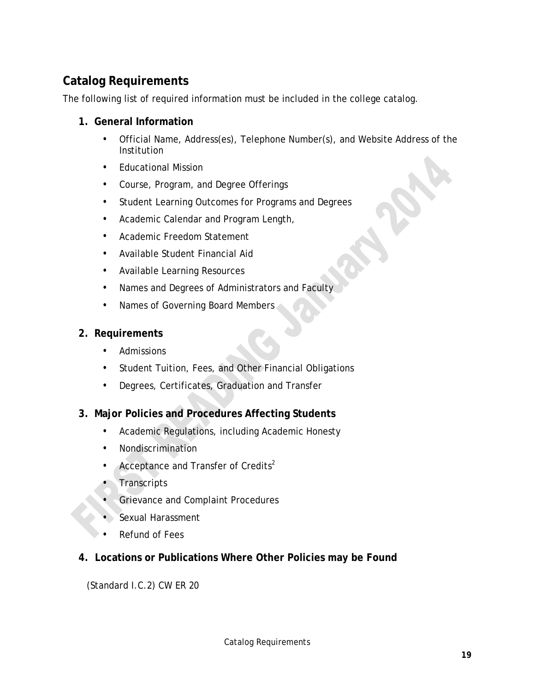# **Catalog Requirements**

The following list of required information must be included in the college catalog.

- **1. General Information**
	- Official Name, Address(es), Telephone Number(s), and Website Address of the Institution
	- Educational Mission
	- Course, Program, and Degree Offerings
	- Student Learning Outcomes for Programs and Degrees
	- Academic Calendar and Program Length,
	- Academic Freedom Statement
	- Available Student Financial Aid
	- Available Learning Resources
	- Names and Degrees of Administrators and Faculty
	- Names of Governing Board Members

#### **2. Requirements**

- Admissions
- Student Tuition, Fees, and Other Financial Obligations
- Degrees, Certificates, Graduation and Transfer
- **3. Major Policies and Procedures Affecting Students**
	- Academic Regulations, including Academic Honesty
	- Nondiscrimination
	- Acceptance and Transfer of Credits<sup>2</sup>
	- **Transcripts**
	- Grievance and Complaint Procedures
	- Sexual Harassment
	- Refund of Fees

#### **4. Locations or Publications Where Other Policies may be Found**

(Standard I.C.2) CW ER 20